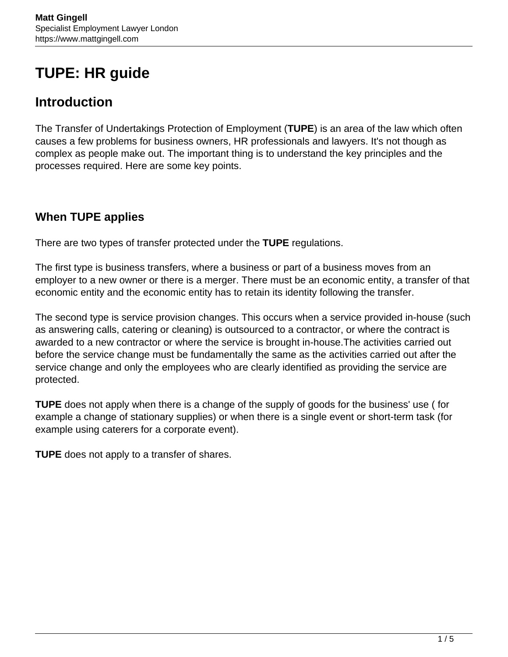# **TUPE: HR guide**

# **Introduction**

The Transfer of Undertakings Protection of Employment (**TUPE**) is an area of the law which often causes a few problems for business owners, HR professionals and lawyers. It's not though as complex as people make out. The important thing is to understand the key principles and the processes required. Here are some key points.

# **When TUPE applies**

There are two types of transfer protected under the **TUPE** regulations.

The first type is business transfers, where a business or part of a business moves from an employer to a new owner or there is a merger. There must be an economic entity, a transfer of that economic entity and the economic entity has to retain its identity following the transfer.

The second type is service provision changes. This occurs when a service provided in-house (such as answering calls, catering or cleaning) is outsourced to a contractor, or where the contract is awarded to a new contractor or where the service is brought in-house.The activities carried out before the service change must be fundamentally the same as the activities carried out after the service change and only the employees who are clearly identified as providing the service are protected.

**TUPE** does not apply when there is a change of the supply of goods for the business' use ( for example a change of stationary supplies) or when there is a single event or short-term task (for example using caterers for a corporate event).

**TUPE** does not apply to a transfer of shares.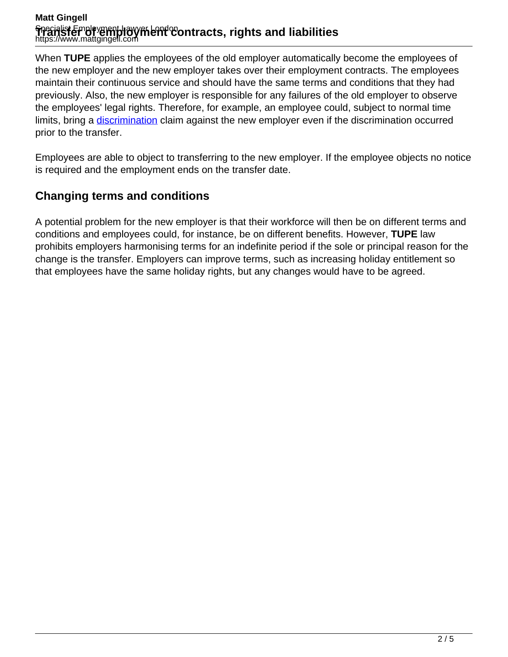#### **Matt Gingell** Specialist Employment Lawyer London **ፕዦaዝsfer of yemploy filent contracts, rights and liabilities**<br>https://www.mattgingell.com

When **TUPE** applies the employees of the old employer automatically become the employees of the new employer and the new employer takes over their employment contracts. The employees maintain their continuous service and should have the same terms and conditions that they had previously. Also, the new employer is responsible for any failures of the old employer to observe the employees' legal rights. Therefore, for example, an employee could, subject to normal time limits, bring a *discrimination* claim against the new employer even if the [discrimination](https://www.mattgingell.com/discrimination-law/) occurred prior to the transfer.

Employees are able to object to transferring to the new employer. If the employee objects no notice is required and the employment ends on the transfer date.

# **Changing terms and conditions**

A potential problem for the new employer is that their workforce will then be on different terms and conditions and employees could, for instance, be on different benefits. However, **TUPE** law prohibits employers harmonising terms for an indefinite period if the sole or principal reason for the change is the transfer. Employers can improve terms, such as increasing holiday entitlement so that employees have the same holiday rights, but any changes would have to be agreed.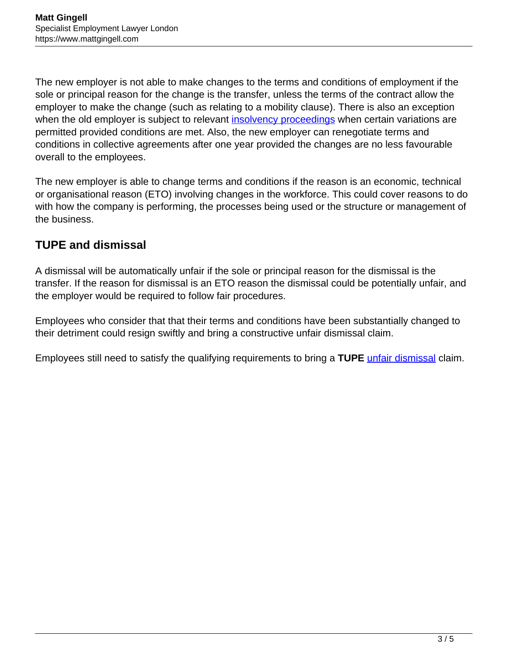The new employer is not able to make changes to the terms and conditions of employment if the sole or principal reason for the change is the transfer, unless the terms of the contract allow the employer to make the change (such as relating to a mobility clause). There is also an exception when the old employer is subject to relevant *insolvency proceedings* when certain variations are permitted provided conditions are met. Also, the new employer can renegotiate terms and conditions in collective agreements after one year provided the changes are no less favourable overall to the employees.

The new employer is able to change terms and conditions if the reason is an economic, technical or organisational reason (ETO) involving changes in the workforce. This could cover reasons to do with how the company is performing, the processes being used or the structure or management of the business.

# **TUPE and dismissal**

A dismissal will be automatically unfair if the sole or principal reason for the dismissal is the transfer. If the reason for dismissal is an ETO reason the dismissal could be potentially unfair, and the employer would be required to follow fair procedures.

Employees who consider that that their terms and conditions have been substantially changed to their detriment could resign swiftly and bring a constructive unfair dismissal claim.

Employees still need to satisfy the qualifying requirements to bring a **TUPE** [unfair dismissal](https://www.mattgingell.com/unfair-dismissal/) claim.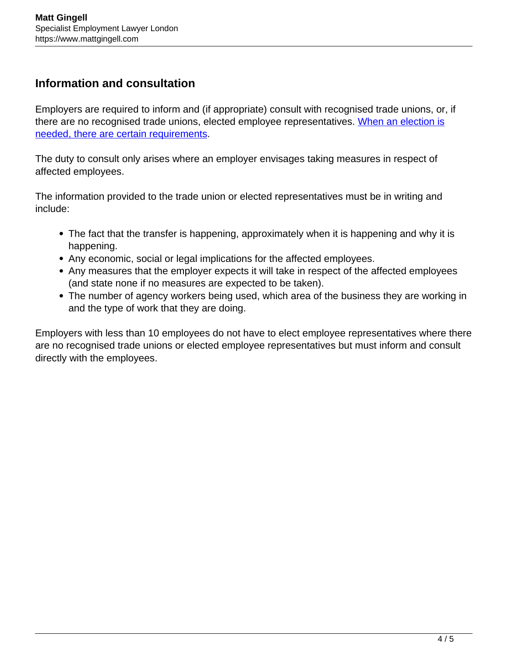#### **Information and consultation**

Employers are required to inform and (if appropriate) consult with recognised trade unions, or, if there are no recognised trade unions, elected employee representatives. [When an election is](https://www.gov.uk/transfers-takeovers/consulting-and-informing) [needed, there are certain requirements.](https://www.gov.uk/transfers-takeovers/consulting-and-informing)

The duty to consult only arises where an employer envisages taking measures in respect of affected employees.

The information provided to the trade union or elected representatives must be in writing and include:

- The fact that the transfer is happening, approximately when it is happening and why it is happening.
- Any economic, social or legal implications for the affected employees.
- Any measures that the employer expects it will take in respect of the affected employees (and state none if no measures are expected to be taken).
- The number of agency workers being used, which area of the business they are working in and the type of work that they are doing.

Employers with less than 10 employees do not have to elect employee representatives where there are no recognised trade unions or elected employee representatives but must inform and consult directly with the employees.